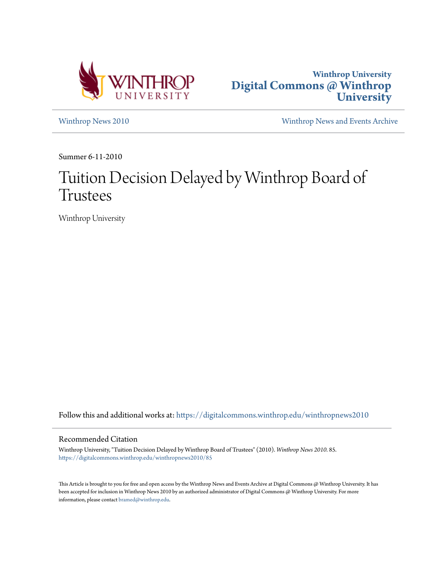



[Winthrop News 2010](https://digitalcommons.winthrop.edu/winthropnews2010?utm_source=digitalcommons.winthrop.edu%2Fwinthropnews2010%2F85&utm_medium=PDF&utm_campaign=PDFCoverPages) [Winthrop News and Events Archive](https://digitalcommons.winthrop.edu/winthropnewsarchives?utm_source=digitalcommons.winthrop.edu%2Fwinthropnews2010%2F85&utm_medium=PDF&utm_campaign=PDFCoverPages)

Summer 6-11-2010

## Tuition Decision Delayed by Winthrop Board of Trustees

Winthrop University

Follow this and additional works at: [https://digitalcommons.winthrop.edu/winthropnews2010](https://digitalcommons.winthrop.edu/winthropnews2010?utm_source=digitalcommons.winthrop.edu%2Fwinthropnews2010%2F85&utm_medium=PDF&utm_campaign=PDFCoverPages)

## Recommended Citation

Winthrop University, "Tuition Decision Delayed by Winthrop Board of Trustees" (2010). *Winthrop News 2010*. 85. [https://digitalcommons.winthrop.edu/winthropnews2010/85](https://digitalcommons.winthrop.edu/winthropnews2010/85?utm_source=digitalcommons.winthrop.edu%2Fwinthropnews2010%2F85&utm_medium=PDF&utm_campaign=PDFCoverPages)

This Article is brought to you for free and open access by the Winthrop News and Events Archive at Digital Commons @ Winthrop University. It has been accepted for inclusion in Winthrop News 2010 by an authorized administrator of Digital Commons @ Winthrop University. For more information, please contact [bramed@winthrop.edu](mailto:bramed@winthrop.edu).